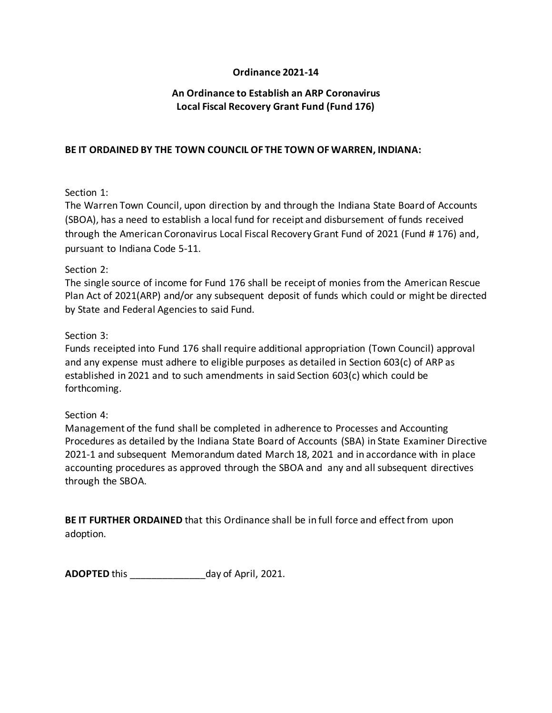## **Ordinance 2021-14**

## **An Ordinance to Establish an ARP Coronavirus Local Fiscal Recovery Grant Fund (Fund 176)**

#### **BE IT ORDAINED BY THE TOWN COUNCIL OF THE TOWN OF WARREN, INDIANA:**

### Section 1:

The Warren Town Council, upon direction by and through the Indiana State Board of Accounts (SBOA), has a need to establish a local fund for receipt and disbursement of funds received through the American Coronavirus Local Fiscal Recovery Grant Fund of 2021 (Fund # 176) and, pursuant to Indiana Code 5-11.

### Section 2:

The single source of income for Fund 176 shall be receipt of monies from the American Rescue Plan Act of 2021(ARP) and/or any subsequent deposit of funds which could or might be directed by State and Federal Agencies to said Fund.

### Section 3:

Funds receipted into Fund 176 shall require additional appropriation (Town Council) approval and any expense must adhere to eligible purposes as detailed in Section 603(c) of ARP as established in 2021 and to such amendments in said Section 603(c) which could be forthcoming.

## Section 4:

Management of the fund shall be completed in adherence to Processes and Accounting Procedures as detailed by the Indiana State Board of Accounts (SBA) in State Examiner Directive 2021-1 and subsequent Memorandum dated March 18, 2021 and in accordance with in place accounting procedures as approved through the SBOA and any and all subsequent directives through the SBOA.

**BE IT FURTHER ORDAINED** that this Ordinance shall be in full force and effect from upon adoption.

**ADOPTED** this day of April, 2021.